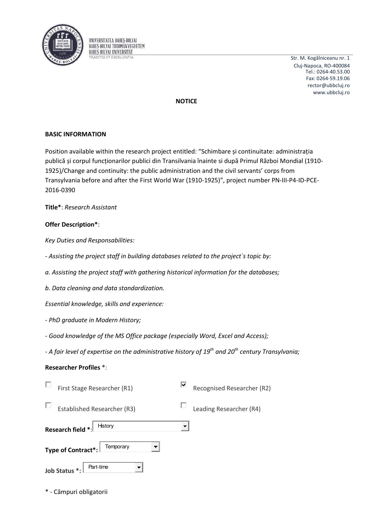

UNIVERSITATEA BABES-BOLYAI BABES-BOLYAL TUDOMÁNYEGYETEM **BABES-BOLYAI UNIVERSITAT RADITIO ET EXCELLENTIA** 

Str. M. Kogălniceanu nr. 1 Cluj-Napoca, RO-400084 Tel.: 0264-40.53.00 Fax: 0264-59.19.06 rector@ubbcluj.ro www.ubbcluj.ro

# **NOTICE**

# **BASIC INFORMATION**

Position available within the research project entitled: "Schimbare și continuitate: administrația publică și corpul funcționarilor publici din Transilvania înainte si după Primul Război Mondial (1910-1925)/Change and continuity: the public administration and the civil servants' corps from Transylvania before and after the First World War (1910-1925)", project number PN-III-P4-ID-PCE-2016-0390

Title\*: Research Assistant

### **Offer Description\*:**

Key Duties and Responsabilities:

- Assisting the project staff in building databases related to the project's topic by:
- a. Assisting the project staff with gathering historical information for the databases;
- b. Data cleaning and data standardization.

Essential knowledge, skills and experience:

- PhD graduate in Modern History;
- Good knowledge of the MS Office package (especially Word, Excel and Access);

- A fair level of expertise on the administrative history of  $19^{th}$  and  $20^{th}$  century Transylvania;

### **Researcher Profiles \*:**

| First Stage Researcher (R1)        | ∣V<br>Recognised Researcher (R2) |
|------------------------------------|----------------------------------|
| <b>Established Researcher (R3)</b> | Leading Researcher (R4)          |
| Research field *:<br>History       | ▼                                |
| Type of Contract*:<br>Temporary    |                                  |
| Job Status *:<br>Part-time         |                                  |

\* - Câmpuri obligatorii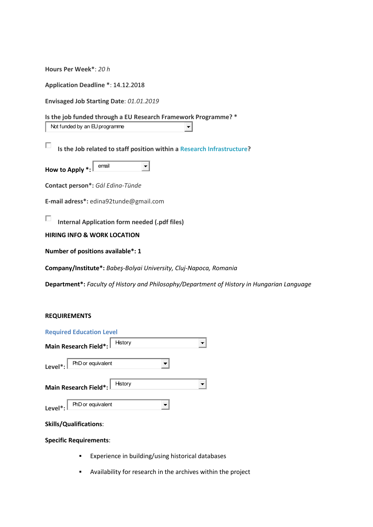**Hours Per Week\***: *20 h*

**Application Deadline \***: 14.12.2018

**Envisaged Job Starting Date**: *01.01.2019*

#### **Is the job funded through a EU Research Framework Programme? \***

Not funded by an EU programme

П **Is the Job related to staff position within [a Research Infrastructure?](http://ec.europa.eu/research/infrastructures/index_en.cfm?pg=about)** 

**How to Apply \*: email**  $\vert \cdot \vert$ 

**Contact person\*:** *Gál Edina-Tünde* 

**E-mail adress\*:** edina92tunde@gmail.com

П **Internal Application form needed (.pdf files)** 

**HIRING INFO & WORK LOCATION** 

**Number of positions available\*: 1** 

**Company/Institute\*:** *Babeş-Bolyai University, Cluj-Napoca, Romania* 

**Department\*:** *Faculty of History and Philosophy/Department of History in Hungarian Language* 

 $\blacksquare$ 

#### **REQUIREMENTS**

| <b>Required Education Level</b>                                          |         |  |
|--------------------------------------------------------------------------|---------|--|
| Main Research Field*:                                                    | History |  |
| $Level*:  $ PhD or equivalent                                            |         |  |
| Main Research Field*: History                                            |         |  |
| Level <sup>*</sup> : $\boxed{\text{PhD} \text{ or } \text{ equivalent}}$ |         |  |

#### **Skills/Qualifications**:

#### **Specific Requirements**:

- **Experience in building/using historical databases**
- Availability for research in the archives within the project